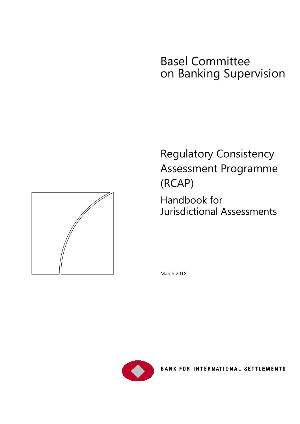# Basel Committee on Banking Supervision

Regulatory Consistency Assessment Programme (RCAP)

Handbook for Jurisdictional Assessments

March 2018



BANK FOR INTERNATIONAL SETTLEMENTS

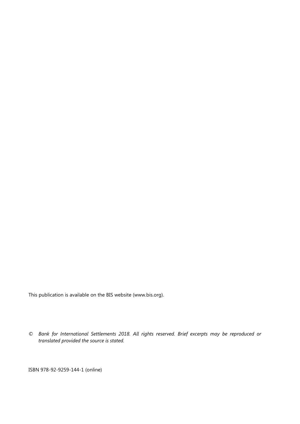This publication is available on the BIS website [\(www.bis.org\)](http://www.bis.org/).

*© Bank for International Settlements 2018. All rights reserved. Brief excerpts may be reproduced or translated provided the source is stated.*

ISBN 978-92-9259-144-1 (online)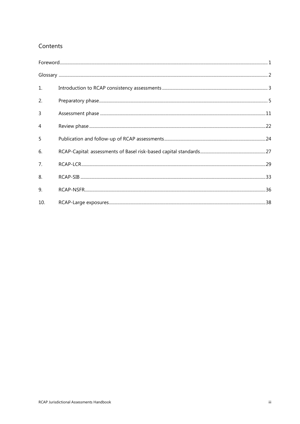## Contents

| $\mathbf{1}$   |  |
|----------------|--|
| 2.             |  |
| 3              |  |
| $\overline{4}$ |  |
| 5              |  |
| 6.             |  |
| 7.             |  |
| 8.             |  |
| 9.             |  |
| 10.            |  |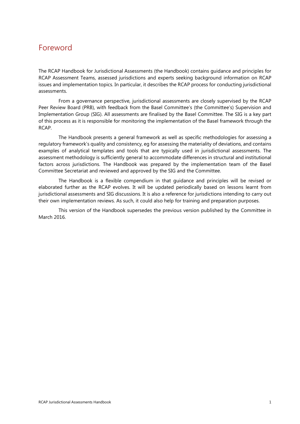# <span id="page-4-0"></span>Foreword

The RCAP Handbook for Jurisdictional Assessments (the Handbook) contains guidance and principles for RCAP Assessment Teams, assessed jurisdictions and experts seeking background information on RCAP issues and implementation topics. In particular, it describes the RCAP process for conducting jurisdictional assessments.

From a governance perspective, jurisdictional assessments are closely supervised by the RCAP Peer Review Board (PRB), with feedback from the Basel Committee's (the Committee's) Supervision and Implementation Group (SIG). All assessments are finalised by the Basel Committee. The SIG is a key part of this process as it is responsible for monitoring the implementation of the Basel framework through the RCAP.

The Handbook presents a general framework as well as specific methodologies for assessing a regulatory framework's quality and consistency, eg for assessing the materiality of deviations, and contains examples of analytical templates and tools that are typically used in jurisdictional assessments. The assessment methodology is sufficiently general to accommodate differences in structural and institutional factors across jurisdictions. The Handbook was prepared by the implementation team of the Basel Committee Secretariat and reviewed and approved by the SIG and the Committee.

The Handbook is a flexible compendium in that guidance and principles will be revised or elaborated further as the RCAP evolves. It will be updated periodically based on lessons learnt from jurisdictional assessments and SIG discussions. It is also a reference for jurisdictions intending to carry out their own implementation reviews. As such, it could also help for training and preparation purposes.

This version of the Handbook supersedes the previous version published by the Committee in March 2016.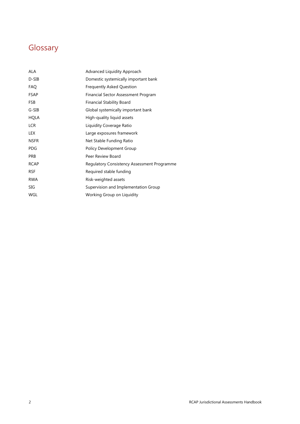# <span id="page-5-0"></span>Glossary

| Advanced Liquidity Approach                 |
|---------------------------------------------|
| Domestic systemically important bank        |
| <b>Frequently Asked Question</b>            |
| Financial Sector Assessment Program         |
| <b>Financial Stability Board</b>            |
| Global systemically important bank          |
| High-quality liquid assets                  |
| Liquidity Coverage Ratio                    |
| Large exposures framework                   |
| Net Stable Funding Ratio                    |
| Policy Development Group                    |
| Peer Review Board                           |
| Regulatory Consistency Assessment Programme |
| Required stable funding                     |
| Risk-weighted assets                        |
| Supervision and Implementation Group        |
| Working Group on Liquidity                  |
|                                             |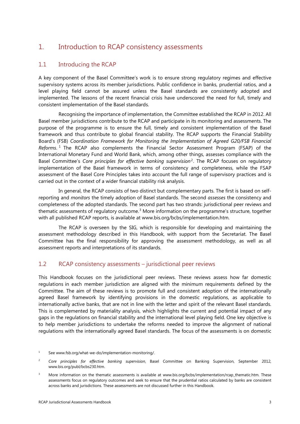# <span id="page-6-0"></span>1. Introduction to RCAP consistency assessments

## 1.1 Introducing the RCAP

A key component of the Basel Committee's work is to ensure strong regulatory regimes and effective supervisory systems across its member jurisdictions. Public confidence in banks, prudential ratios, and a level playing field cannot be assured unless the Basel standards are consistently adopted and implemented. The lessons of the recent financial crisis have underscored the need for full, timely and consistent implementation of the Basel standards.

Recognising the importance of implementation, the Committee established the RCAP in 2012. All Basel member jurisdictions contribute to the RCAP and participate in its monitoring and assessments. The purpose of the programme is to ensure the full, timely and consistent implementation of the Basel framework and thus contribute to global financial stability. The RCAP supports the Financial Stability Board's (FSB) *Coordination Framework for Monitoring the Implementation of Agreed G20/FSB Financial Reforms*. [1](#page-6-1) The RCAP also complements the Financial Sector Assessment Program (FSAP) of the International Monetary Fund and World Bank, which, among other things, assesses compliance with the Basel Committee's *Core principles for effective banking supervision*[2](#page-6-2). The RCAP focuses on regulatory implementation of the Basel framework in terms of consistency and completeness, while the FSAP assessment of the Basel Core Principles takes into account the full range of supervisory practices and is carried out in the context of a wider financial stability risk analysis.

In general, the RCAP consists of two distinct but complementary parts. The first is based on selfreporting and *monitors* the timely adoption of Basel standards. The second *assesses* the consistency and completeness of the adopted standards. The second part has two strands: jurisdictional peer reviews and thematic assessments of regulatory outcome.<sup>[3](#page-6-3)</sup> More information on the programme's structure, together with all published RCAP reports, is available at [www.bis.org/bcbs/implementation.htm.](http://www.bis.org/bcbs/implementation.htm)

The RCAP is overseen by the SIG, which is responsible for developing and maintaining the assessment methodology described in this Handbook, with support from the Secretariat. The Basel Committee has the final responsibility for approving the assessment methodology, as well as all assessment reports and interpretations of its standards.

## 1.2 RCAP consistency assessments – jurisdictional peer reviews

This Handbook focuses on the jurisdictional peer reviews. These reviews assess how far domestic regulations in each member jurisdiction are aligned with the minimum requirements defined by the Committee. The aim of these reviews is to promote full and consistent adoption of the internationally agreed Basel framework by identifying provisions in the domestic regulations, as applicable to internationally active banks, that are not in line with the letter and spirit of the relevant Basel standards. This is complemented by materiality analysis, which highlights the current and potential impact of any gaps in the regulations on financial stability and the international level playing field. One key objective is to help member jurisdictions to undertake the reforms needed to improve the alignment of national regulations with the internationally agreed Basel standards. The focus of the assessments is on domestic

<span id="page-6-1"></span><sup>1</sup> See [www.fsb.org/what-we-do/implementation-monitoring/.](http://www.fsb.org/what-we-do/implementation-monitoring/)

<span id="page-6-2"></span><sup>2</sup> *Core principles for effective banking supervision*, Basel Committee on Banking Supervision, September 2012, [www.bis.org/publ/bcbs230.htm.](http://www.bis.org/publ/bcbs230.htm)

<span id="page-6-3"></span><sup>&</sup>lt;sup>3</sup> More information on the thematic assessments is available at [www.bis.org/bcbs/implementation/rcap\\_thematic.htm.](http://www.bis.org/bcbs/implementation/rcap_thematic.htm) These assessments focus on regulatory outcomes and seek to ensure that the prudential ratios calculated by banks are consistent across banks and jurisdictions. These assessments are not discussed further in this Handbook.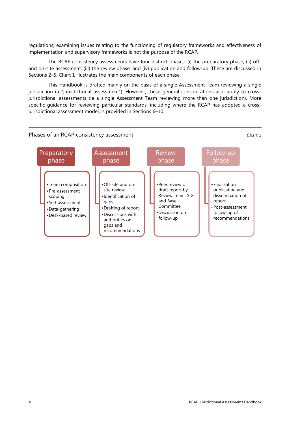regulations; examining issues relating to the functioning of regulatory frameworks and effectiveness of implementation and supervisory frameworks is not the purpose of the RCAP.

The RCAP consistency assessments have four distinct phases: (i) the preparatory phase; (ii) offand on-site assessment; (iii) the review phase; and (iv) publication and follow-up. These are discussed in Sections 2–5. Chart 1 illustrates the main components of each phase.

This Handbook is drafted mainly on the basis of a single Assessment Team reviewing a single jurisdiction (a "jurisdictional assessment"). However, these general considerations also apply to crossjurisdictional assessments (ie a single Assessment Team reviewing more than one jurisdiction). More specific guidance for reviewing particular standards, including where the RCAP has adopted a crossjurisdictional assessment model, is provided in Sections 6–10.

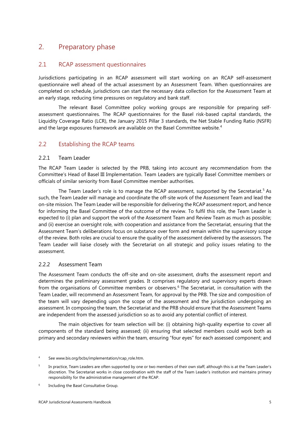# <span id="page-8-0"></span>2. Preparatory phase

#### 2.1 RCAP assessment questionnaires

Jurisdictions participating in an RCAP assessment will start working on an RCAP self-assessment questionnaire well ahead of the actual assessment by an Assessment Team. When questionnaires are completed on schedule, jurisdictions can start the necessary data collection for the Assessment Team at an early stage, reducing time pressures on regulatory and bank staff.

The relevant Basel Committee policy working groups are responsible for preparing selfassessment questionnaires. The RCAP questionnaires for the Basel risk-based capital standards, the Liquidity Coverage Ratio (LCR), the January 2015 Pillar 3 standards, the Net Stable Funding Ratio (NSFR) and the large exposures framework are available on the Basel Committee website. [4](#page-8-1)

## 2.2 Establishing the RCAP teams

#### 2.2.1 Team Leader

The RCAP Team Leader is selected by the PRB, taking into account any recommendation from the Committee's Head of Basel III Implementation. Team Leaders are typically Basel Committee members or officials of similar seniority from Basel Committee member authorities.

The Team Leader's role is to manage the RCAP assessment, supported by the Secretariat. [5](#page-8-2) As such, the Team Leader will manage and coordinate the off-site work of the Assessment Team and lead the on-site mission. The Team Leader will be responsible for delivering the RCAP assessment report, and hence for informing the Basel Committee of the outcome of the review. To fulfil this role, the Team Leader is expected to (i) plan and support the work of the Assessment Team and Review Team as much as possible; and (ii) exercise an oversight role, with cooperation and assistance from the Secretariat, ensuring that the Assessment Team's deliberations focus on substance over form and remain within the supervisory scope of the review. Both roles are crucial to ensure the quality of the assessment delivered by the assessors. The Team Leader will liaise closely with the Secretariat on all strategic and policy issues relating to the assessment.

#### 2.2.2 Assessment Team

The Assessment Team conducts the off-site and on-site assessment, drafts the assessment report and determines the preliminary assessment grades. It comprises regulatory and supervisory experts drawn from the organisations of Committee members or observers. [6](#page-8-3) The Secretariat, in consultation with the Team Leader, will recommend an Assessment Team, for approval by the PRB. The size and composition of the team will vary depending upon the scope of the assessment and the jurisdiction undergoing an assessment. In composing the team, the Secretariat and the PRB should ensure that the Assessment Teams are independent from the assessed jurisdiction so as to avoid any potential conflict of interest.

The main objectives for team selection will be: (i) obtaining high-quality expertise to cover all components of the standard being assessed; (ii) ensuring that selected members could work both as primary and secondary reviewers within the team, ensuring "four eyes" for each assessed component; and

<span id="page-8-3"></span>Including the Basel Consultative Group.

<span id="page-8-1"></span><sup>4</sup> See www.bis.org/bcbs/implementation/rcap\_role.htm.

<span id="page-8-2"></span><sup>&</sup>lt;sup>5</sup> In practice, Team Leaders are often supported by one or two members of their own staff, although this is at the Team Leader's discretion. The Secretariat works in close coordination with the staff of the Team Leader's institution and maintains primary responsibility for the administrative management of the RCAP.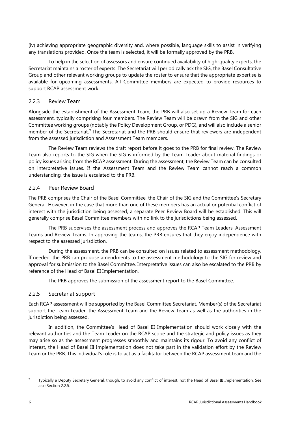(iv) achieving appropriate geographic diversity and, where possible, language skills to assist in verifying any translations provided. Once the team is selected, it will be formally approved by the PRB.

To help in the selection of assessors and ensure continued availability of high-quality experts, the Secretariat maintains a roster of experts. The Secretariat will periodically ask the SIG, the Basel Consultative Group and other relevant working groups to update the roster to ensure that the appropriate expertise is available for upcoming assessments. All Committee members are expected to provide resources to support RCAP assessment work.

#### 2.2.3 Review Team

Alongside the establishment of the Assessment Team, the PRB will also set up a Review Team for each assessment, typically comprising four members. The Review Team will be drawn from the SIG and other Committee working groups (notably the Policy Development Group, or PDG), and will also include a senior member of the Secretariat.[7](#page-9-0) The Secretariat and the PRB should ensure that reviewers are independent from the assessed jurisdiction and Assessment Team members.

The Review Team reviews the draft report before it goes to the PRB for final review. The Review Team also reports to the SIG when the SIG is informed by the Team Leader about material findings or policy issues arising from the RCAP assessment. During the assessment, the Review Team can be consulted on interpretative issues. If the Assessment Team and the Review Team cannot reach a common understanding, the issue is escalated to the PRB.

#### 2.2.4 Peer Review Board

The PRB comprises the Chair of the Basel Committee, the Chair of the SIG and the Committee's Secretary General. However, in the case that more than one of these members has an actual or potential conflict of interest with the jurisdiction being assessed, a separate Peer Review Board will be established. This will generally comprise Basel Committee members with no link to the jurisdictions being assessed.

The PRB supervises the assessment process and approves the RCAP Team Leaders, Assessment Teams and Review Teams. In approving the teams, the PRB ensures that they enjoy independence with respect to the assessed jurisdiction.

During the assessment, the PRB can be consulted on issues related to assessment methodology. If needed, the PRB can propose amendments to the assessment methodology to the SIG for review and approval for submission to the Basel Committee. Interpretative issues can also be escalated to the PRB by reference of the Head of Basel III Implementation.

The PRB approves the submission of the assessment report to the Basel Committee.

#### 2.2.5 Secretariat support

Each RCAP assessment will be supported by the Basel Committee Secretariat. Member(s) of the Secretariat support the Team Leader, the Assessment Team and the Review Team as well as the authorities in the jurisdiction being assessed.

In addition, the Committee's Head of Basel III Implementation should work closely with the relevant authorities and the Team Leader on the RCAP scope and the strategic and policy issues as they may arise so as the assessment progresses smoothly and maintains its rigour. To avoid any conflict of interest, the Head of Basel III Implementation does not take part in the validation effort by the Review Team or the PRB. This individual's role is to act as a facilitator between the RCAP assessment team and the

<span id="page-9-0"></span><sup>&</sup>lt;sup>7</sup> Typically a Deputy Secretary General, though, to avoid any conflict of interest, not the Head of Basel III Implementation. See also Section 2.2.5.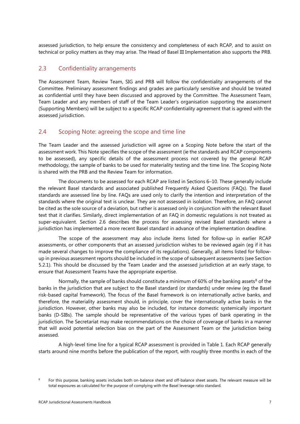assessed jurisdiction, to help ensure the consistency and completeness of each RCAP, and to assist on technical or policy matters as they may arise. The Head of Basel III Implementation also supports the PRB.

## 2.3 Confidentiality arrangements

The Assessment Team, Review Team, SIG and PRB will follow the confidentiality arrangements of the Committee. Preliminary assessment findings and grades are particularly sensitive and should be treated as confidential until they have been discussed and approved by the Committee. The Assessment Team, Team Leader and any members of staff of the Team Leader's organisation supporting the assessment (Supporting Members) will be subject to a specific RCAP confidentiality agreement that is agreed with the assessed jurisdiction.

## 2.4 Scoping Note: agreeing the scope and time line

The Team Leader and the assessed jurisdiction will agree on a Scoping Note before the start of the assessment work. This Note specifies the scope of the assessment (ie the standards and RCAP components to be assessed), any specific details of the assessment process not covered by the general RCAP methodology, the sample of banks to be used for materiality testing and the time line. The Scoping Note is shared with the PRB and the Review Team for information.

The documents to be assessed for each RCAP are listed in Sections 6–10. These generally include the relevant Basel standards and associated published Frequently Asked Questions (FAQs). The Basel standards are assessed line by line. FAQs are used only to clarify the intention and interpretation of the standards where the original text is unclear. They are not assessed in isolation. Therefore, an FAQ cannot be cited as the sole source of a deviation, but rather is assessed only in conjunction with the relevant Basel text that it clarifies. Similarly, direct implementation of an FAQ in domestic regulations is not treated as super-equivalent. Section 2.6 describes the process for assessing revised Basel standards where a jurisdiction has implemented a more recent Basel standard in advance of the implementation deadline.

The scope of the assessment may also include items listed for follow-up in earlier RCAP assessments, or other components that an assessed jurisdiction wishes to be reviewed again (eg if it has made several changes to improve the compliance of its regulations). Generally, all items listed for followup in previous assessment reports should be included in the scope of subsequent assessments (see Section 5.2.1). This should be discussed by the Team Leader and the assessed jurisdiction at an early stage, to ensure that Assessment Teams have the appropriate expertise.

Normally, the sample of banks should constitute a minimum of 60% of the banking assets<sup>[8](#page-10-0)</sup> of the banks in the jurisdiction that are subject to the Basel standard (or standards) under review (eg the Basel risk-based capital framework). The focus of the Basel framework is on internationally active banks, and therefore, the materiality assessment should, in principle, cover the internationally active banks in the jurisdiction. However, other banks may also be included, for instance domestic systemically important banks (D-SIBs). The sample should be representative of the various types of bank operating in the jurisdiction. The Secretariat may make recommendations on the choice of coverage of banks in a manner that will avoid potential selection bias on the part of the Assessment Team or the jurisdiction being assessed.

A high-level time line for a typical RCAP assessment is provided in Table 1. Each RCAP generally starts around nine months before the publication of the report, with roughly three months in each of the

<span id="page-10-0"></span><sup>&</sup>lt;sup>8</sup> For this purpose, banking assets includes both on-balance sheet and off-balance sheet assets. The relevant measure will be total exposures as calculated for the purpose of complying with the Basel leverage ratio standard.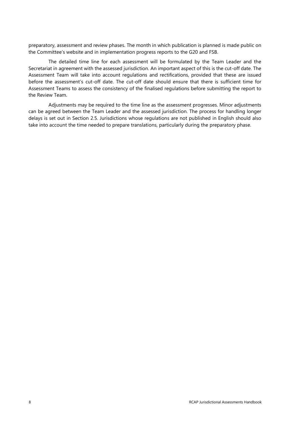preparatory, assessment and review phases. The month in which publication is planned is made public on the Committee's website and in implementation progress reports to the G20 and FSB.

The detailed time line for each assessment will be formulated by the Team Leader and the Secretariat in agreement with the assessed jurisdiction. An important aspect of this is the cut-off date. The Assessment Team will take into account regulations and rectifications, provided that these are issued before the assessment's cut-off date. The cut-off date should ensure that there is sufficient time for Assessment Teams to assess the consistency of the finalised regulations before submitting the report to the Review Team.

Adjustments may be required to the time line as the assessment progresses. Minor adjustments can be agreed between the Team Leader and the assessed jurisdiction. The process for handling longer delays is set out in Section 2.5. Jurisdictions whose regulations are not published in English should also take into account the time needed to prepare translations, particularly during the preparatory phase.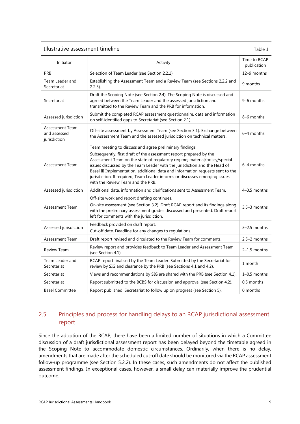#### Illustrative assessment timeline Table 1 and the Table 1 and Table 1 and Table 1

| Initiator                                       | Activity                                                                                                                                                                                                                                                                                                                                                                                                                                                                                       | Time to RCAP<br>publication |
|-------------------------------------------------|------------------------------------------------------------------------------------------------------------------------------------------------------------------------------------------------------------------------------------------------------------------------------------------------------------------------------------------------------------------------------------------------------------------------------------------------------------------------------------------------|-----------------------------|
| PRB                                             | Selection of Team Leader (see Section 2.2.1)                                                                                                                                                                                                                                                                                                                                                                                                                                                   | 12-9 months                 |
| Team Leader and<br>Secretariat                  | Establishing the Assessment Team and a Review Team (see Sections 2.2.2 and<br>$2.2.3$ ).                                                                                                                                                                                                                                                                                                                                                                                                       | 9 months                    |
| Secretariat                                     | Draft the Scoping Note (see Section 2.4). The Scoping Note is discussed and<br>agreed between the Team Leader and the assessed jurisdiction and<br>transmitted to the Review Team and the PRB for information.                                                                                                                                                                                                                                                                                 | 9-6 months                  |
| Assessed jurisdiction                           | Submit the completed RCAP assessment questionnaire, data and information<br>on self-identified gaps to Secretariat (see Section 2.1).                                                                                                                                                                                                                                                                                                                                                          | 8-6 months                  |
| Assessment Team<br>and assessed<br>jurisdiction | Off-site assessment by Assessment Team (see Section 3.1). Exchange between<br>the Assessment Team and the assessed jurisdiction on technical matters.                                                                                                                                                                                                                                                                                                                                          | 6-4 months                  |
| <b>Assessment Team</b>                          | Team meeting to discuss and agree preliminary findings.<br>Subsequently, first draft of the assessment report prepared by the<br>Assessment Team on the state of regulatory regime; material/policy/special<br>issues discussed by the Team Leader with the jurisdiction and the Head of<br>Basel III Implementation; additional data and information requests sent to the<br>jurisdiction. If required, Team Leader informs or discusses emerging issues<br>with the Review Team and the PRB. | 6-4 months                  |
| Assessed jurisdiction                           | Additional data, information and clarifications sent to Assessment Team.                                                                                                                                                                                                                                                                                                                                                                                                                       | $4-3.5$ months              |
| <b>Assessment Team</b>                          | Off-site work and report drafting continues.<br>On-site assessment (see Section 3.2). Draft RCAP report and its findings along<br>with the preliminary assessment grades discussed and presented. Draft report<br>left for comments with the jurisdiction.                                                                                                                                                                                                                                     | $3.5-3$ months              |
| Assessed jurisdiction                           | Feedback provided on draft report.<br>Cut-off date. Deadline for any changes to regulations.                                                                                                                                                                                                                                                                                                                                                                                                   | $3-2.5$ months              |
| <b>Assessment Team</b>                          | Draft report revised and circulated to the Review Team for comments.                                                                                                                                                                                                                                                                                                                                                                                                                           | $2.5 - 2$ months            |
| <b>Review Team</b>                              | Review report and provides feedback to Team Leader and Assessment Team<br>(see Section 4.1).                                                                                                                                                                                                                                                                                                                                                                                                   | $2-1.5$ months              |
| Team Leader and<br>Secretariat                  | RCAP report finalised by the Team Leader. Submitted by the Secretariat for<br>review by SIG and clearance by the PRB (see Sections 4.1 and 4.2).                                                                                                                                                                                                                                                                                                                                               | 1 month                     |
| Secretariat                                     | Views and recommendations by SIG are shared with the PRB (see Section 4.1).                                                                                                                                                                                                                                                                                                                                                                                                                    | $1-0.5$ months              |
| Secretariat                                     | Report submitted to the BCBS for discussion and approval (see Section 4.2).                                                                                                                                                                                                                                                                                                                                                                                                                    | 0.5 months                  |
| <b>Basel Committee</b>                          | Report published. Secretariat to follow up on progress (see Section 5).                                                                                                                                                                                                                                                                                                                                                                                                                        | 0 months                    |

# 2.5 Principles and process for handling delays to an RCAP jurisdictional assessment report

Since the adoption of the RCAP, there have been a limited number of situations in which a Committee discussion of a draft jurisdictional assessment report has been delayed beyond the timetable agreed in the Scoping Note to accommodate domestic circumstances. Ordinarily, when there is no delay, amendments that are made after the scheduled cut-off date should be monitored via the RCAP assessment follow-up programme (see Section 5.2.2). In these cases, such amendments do not affect the published assessment findings. In exceptional cases, however, a small delay can materially improve the prudential outcome.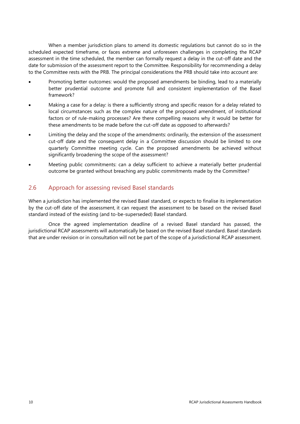When a member jurisdiction plans to amend its domestic regulations but cannot do so in the scheduled expected timeframe, or faces extreme and unforeseen challenges in completing the RCAP assessment in the time scheduled, the member can formally request a delay in the cut-off date and the date for submission of the assessment report to the Committee. Responsibility for recommending a delay to the Committee rests with the PRB. The principal considerations the PRB should take into account are:

- Promoting better outcomes: would the proposed amendments be binding, lead to a materially better prudential outcome and promote full and consistent implementation of the Basel framework?
- Making a case for a delay: is there a sufficiently strong and specific reason for a delay related to local circumstances such as the complex nature of the proposed amendment, of institutional factors or of rule-making processes? Are there compelling reasons why it would be better for these amendments to be made before the cut-off date as opposed to afterwards?
- Limiting the delay and the scope of the amendments: ordinarily, the extension of the assessment cut-off date and the consequent delay in a Committee discussion should be limited to one quarterly Committee meeting cycle. Can the proposed amendments be achieved without significantly broadening the scope of the assessment?
- Meeting public commitments: can a delay sufficient to achieve a materially better prudential outcome be granted without breaching any public commitments made by the Committee?

#### 2.6 Approach for assessing revised Basel standards

When a jurisdiction has implemented the revised Basel standard, or expects to finalise its implementation by the cut-off date of the assessment, it can request the assessment to be based on the revised Basel standard instead of the existing (and to-be-superseded) Basel standard.

Once the agreed implementation deadline of a revised Basel standard has passed, the jurisdictional RCAP assessments will automatically be based on the revised Basel standard. Basel standards that are under revision or in consultation will not be part of the scope of a jurisdictional RCAP assessment.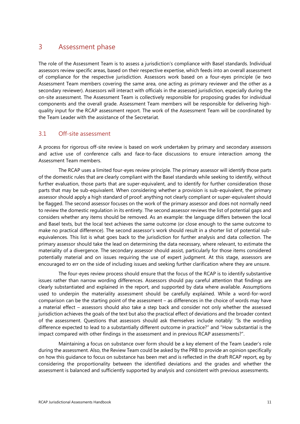# <span id="page-14-0"></span>3 Assessment phase

The role of the Assessment Team is to assess a jurisdiction's compliance with Basel standards. Individual assessors review specific areas, based on their respective expertise, which feeds into an overall assessment of compliance for the respective jurisdiction. Assessors work based on a four-eyes principle (ie two Assessment Team members covering the same area, one acting as primary reviewer and the other as a secondary reviewer). Assessors will interact with officials in the assessed jurisdiction, especially during the on-site assessment. The Assessment Team is collectively responsible for proposing grades for individual components and the overall grade. Assessment Team members will be responsible for delivering highquality input for the RCAP assessment report. The work of the Assessment Team will be coordinated by the Team Leader with the assistance of the Secretariat.

#### 3.1 Off-site assessment

A process for rigorous off-site review is based on work undertaken by primary and secondary assessors and active use of conference calls and face-to-face discussions to ensure interaction among the Assessment Team members.

The RCAP uses a limited four-eyes review principle. The primary assessor will identify those parts of the domestic rules that are clearly compliant with the Basel standards while seeking to identify, without further evaluation, those parts that are super-equivalent, and to identify for further consideration those parts that may be sub-equivalent. When considering whether a provision is sub-equivalent, the primary assessor should apply a high standard of proof: anything not clearly compliant or super-equivalent should be flagged. The second assessor focuses on the work of the primary assessor and does not normally need to review the domestic regulation in its entirety. The second assessor reviews the list of potential gaps and considers whether any items should be removed. As an example: the language differs between the local and Basel texts, but the local text achieves the same outcome (or close enough to the same outcome to make no practical difference). The second assessor's work should result in a shorter list of potential subequivalences. This list is what goes back to the jurisdiction for further analysis and data collection. The primary assessor should take the lead on determining the data necessary, where relevant, to estimate the materiality of a divergence. The secondary assessor should assist, particularly for those items considered potentially material and on issues requiring the use of expert judgment. At this stage, assessors are encouraged to err on the side of including issues and seeking further clarification where they are unsure.

The four-eyes review process should ensure that the focus of the RCAP is to identify substantive issues rather than narrow wording differences. Assessors should pay careful attention that findings are clearly substantiated and explained in the report, and supported by data where available. Assumptions used to underpin the materiality assessment should be carefully explained. While a word-for-word comparison can be the starting point of the assessment – as differences in the choice of words may have a material effect – assessors should also take a step back and consider not only whether the assessed jurisdiction achieves the goals of the text but also the practical effect of deviations and the broader context of the assessment. Questions that assessors should ask themselves include notably: "Is the wording difference expected to lead to a substantially different outcome in practice?" and "How substantial is the impact compared with other findings in the assessment and in previous RCAP assessments?".

Maintaining a focus on substance over form should be a key element of the Team Leader's role during the assessment. Also, the Review Team could be asked by the PRB to provide an opinion specifically on how this guidance to focus on substance has been met and is reflected in the draft RCAP report, eg by considering the proportionality between the identified deviations and the grades and whether the assessment is balanced and sufficiently supported by analysis and consistent with previous assessments.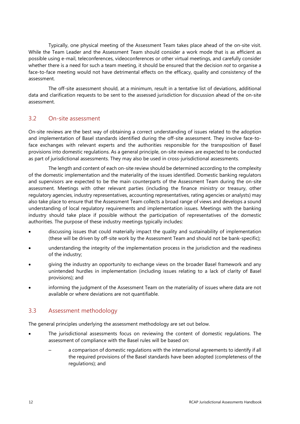Typically, one physical meeting of the Assessment Team takes place ahead of the on-site visit. While the Team Leader and the Assessment Team should consider a work mode that is as efficient as possible using e-mail, teleconferences, videoconferences or other virtual meetings, and carefully consider whether there is a need for such a team meeting, it should be ensured that the decision *not* to organise a face-to-face meeting would not have detrimental effects on the efficacy, quality and consistency of the assessment.

The off-site assessment should, at a minimum, result in a tentative list of deviations, additional data and clarification requests to be sent to the assessed jurisdiction for discussion ahead of the on-site assessment.

### 3.2 On-site assessment

On-site reviews are the best way of obtaining a correct understanding of issues related to the adoption and implementation of Basel standards identified during the off-site assessment. They involve face-toface exchanges with relevant experts and the authorities responsible for the transposition of Basel provisions into domestic regulations. As a general principle, on-site reviews are expected to be conducted as part of jurisdictional assessments. They may also be used in cross-jurisdictional assessments.

The length and content of each on-site review should be determined according to the complexity of the domestic implementation and the materiality of the issues identified. Domestic banking regulators and supervisors are expected to be the main counterparts of the Assessment Team during the on-site assessment. Meetings with other relevant parties (including the finance ministry or treasury, other regulatory agencies, industry representatives, accounting representatives, rating agencies or analysts) may also take place to ensure that the Assessment Team collects a broad range of views and develops a sound understanding of local regulatory requirements and implementation issues. Meetings with the banking industry should take place if possible without the participation of representatives of the domestic authorities. The purpose of these industry meetings typically includes:

- discussing issues that could materially impact the quality and sustainability of implementation (these will be driven by off-site work by the Assessment Team and should not be bank-specific);
- understanding the integrity of the implementation process in the jurisdiction and the readiness of the industry;
- giving the industry an opportunity to exchange views on the broader Basel framework and any unintended hurdles in implementation (including issues relating to a lack of clarity of Basel provisions); and
- informing the judgment of the Assessment Team on the materiality of issues where data are not available or where deviations are not quantifiable.

#### 3.3 Assessment methodology

The general principles underlying the assessment methodology are set out below.

- The jurisdictional assessments focus on reviewing the content of domestic regulations. The assessment of compliance with the Basel rules will be based on:
	- a comparison of domestic regulations with the international agreements to identify if all the required provisions of the Basel standards have been adopted (completeness of the regulations); and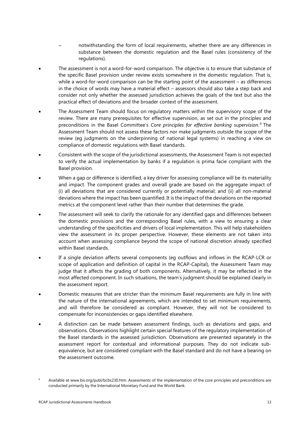- notwithstanding the form of local requirements, whether there are any differences in substance between the domestic regulation and the Basel rules (consistency of the regulations).
- The assessment is not a word-for-word comparison. The objective is to ensure that substance of the specific Basel provision under review exists somewhere in the domestic regulation. That is, while a word-for-word comparison can be the starting point of the assessment – as differences in the choice of words may have a material effect – assessors should also take a step back and consider not only whether the assessed jurisdiction achieves the goals of the text but also the practical effect of deviations and the broader context of the assessment.
- The Assessment Team should focus on regulatory matters within the supervisory scope of the review. There are many prerequisites for effective supervision, as set out in the principles and preconditions in the Basel Committee's *Core principles for effective banking supervision*. [9](#page-16-0) The Assessment Team should not assess these factors nor make judgments outside the scope of the review (eg judgments on the underpinning of national legal systems) in reaching a view on compliance of domestic regulations with Basel standards.
- Consistent with the scope of the jurisdictional assessments, the Assessment Team is not expected to verify the actual implementation by banks if a regulation is prima facie compliant with the Basel provision.
- When a gap or difference is identified, a key driver for assessing compliance will be its materiality and impact. The component grades and overall grade are based on the aggregate impact of (i) all deviations that are considered currently or potentially material; and (ii) all non-material deviations where the impact has been quantified. It is the impact of the deviations on the reported metrics at the component level rather than their number that determines the grade.
- The assessment will seek to clarify the rationale for any identified gaps and differences between the domestic provisions and the corresponding Basel rules, with a view to ensuring a clear understanding of the specificities and drivers of local implementation. This will help stakeholders view the assessment in its proper perspective. However, these elements are not taken into account when assessing compliance beyond the scope of national discretion already specified within Basel standards.
- If a single deviation affects several components (eg outflows and inflows in the RCAP-LCR or scope of application and definition of capital in the RCAP-Capital), the Assessment Team may judge that it affects the grading of both components. Alternatively, it may be reflected in the most affected component. In such situations, the team's judgment should be explained clearly in the assessment report.
- Domestic measures that are stricter than the minimum Basel requirements are fully in line with the nature of the international agreements, which are intended to set minimum requirements, and will therefore be considered as compliant. However, they will not be considered to compensate for inconsistencies or gaps identified elsewhere.
- A distinction can be made between assessment findings, such as deviations and gaps, and observations. Observations highlight certain special features of the regulatory implementation of the Basel standards in the assessed jurisdiction. Observations are presented separately in the assessment report for contextual and informational purposes. They do not indicate subequivalence, but are considered compliant with the Basel standard and do not have a bearing on the assessment outcome.

<span id="page-16-0"></span>Available at [www.bis.org/publ/bcbs230.htm.](http://www.bis.org/publ/bcbs230.htm) Assessments of the implementation of the core principles and preconditions are conducted primarily by the International Monetary Fund and the World Bank.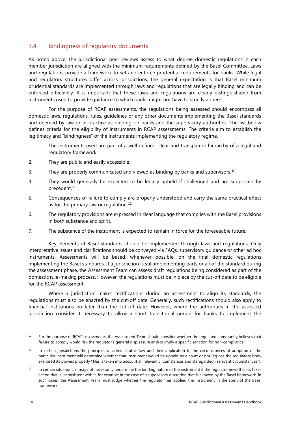## 3.4 Bindingness of regulatory documents

As noted above, the jurisdictional peer reviews assess to what degree domestic regulations in each member jurisdiction are aligned with the minimum requirements defined by the Basel Committee. Laws and regulations provide a framework to set and enforce prudential requirements for banks. While legal and regulatory structures differ across jurisdictions, the general expectation is that Basel minimum prudential standards are implemented through laws and regulations that are legally binding and can be enforced effectively. It is important that these laws and regulations are clearly distinguishable from instruments used to provide guidance to which banks might not have to strictly adhere.

For the purpose of RCAP assessments, the regulations being assessed should encompass all domestic laws, regulations, rules, guidelines or any other documents implementing the Basel standards and deemed by law or in practice as binding on banks and the supervisory authorities. The list below defines criteria for the eligibility of instruments in RCAP assessments. The criteria aim to establish the legitimacy and "bindingness" of the instruments implementing the regulatory regime.

- 1. The instruments used are part of a well defined, clear and transparent hierarchy of a legal and regulatory framework.
- 2. They are public and easily accessible.
- 3. They are properly communicated and viewed as binding by banks and supervisors.<sup>[10](#page-17-0)</sup>
- 4. They would generally be expected to be legally upheld if challenged and are supported by precedent. [11](#page-17-1)
- 5. Consequences of failure to comply are properly understood and carry the same practical effect as for the primary law or regulation.<sup>[12](#page-17-2)</sup>
- 6. The regulatory provisions are expressed in clear language that complies with the Basel provisions in both substance and spirit.
- 7. The substance of the instrument is expected to remain in force for the foreseeable future.

Key elements of Basel standards should be implemented through laws and regulations. Only interpretative issues and clarifications should be conveyed via FAQs, supervisory guidance or other ad hoc instruments. Assessments will be based, whenever possible, on the final domestic regulations implementing the Basel standards. If a jurisdiction is still implementing parts or all of the standard during the assessment phase, the Assessment Team can assess draft regulations being considered as part of the domestic rule-making process. However, the regulations must be in place by the cut-off date to be eligible for the RCAP assessment.

Where a jurisdiction makes rectifications during an assessment to align its standards, the regulations must also be enacted by the cut-off date. Generally, such rectifications should also apply to financial institutions no later than the cut-off date. However, where the authorities in the assessed jurisdiction consider it necessary to allow a short transitional period for banks to implement the

<span id="page-17-0"></span><sup>&</sup>lt;sup>10</sup> For the purpose of RCAP assessments, the Assessment Team should consider whether the regulated community believes that failure to comply would risk the regulator's general displeasure and/or imply a specific sanction for non-compliance.

<span id="page-17-1"></span> $11$  In certain jurisdictions the principles of administrative law and their application to the circumstances of adoption of the particular instrument will determine whether that instrument would be upheld by a court or not (eg has the regulatory body exercised its powers properly? Has it taken into account all relevant circumstances and disregarded irrelevant circumstances?).

<span id="page-17-2"></span><sup>&</sup>lt;sup>12</sup> In certain situations, it may not necessarily undermine the binding nature of the instrument if the regulator nevertheless takes action that is inconsistent with it, for example in the case of a supervisory discretion that is allowed by the Basel framework. In such cases, the Assessment Team must judge whether the regulator has applied the instrument in the spirit of the Basel framework.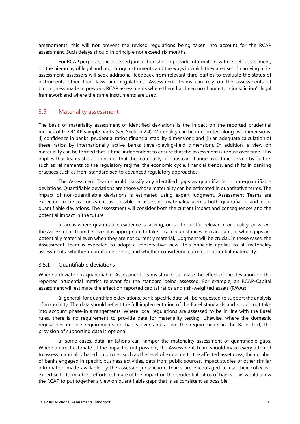amendments, this will not prevent the revised regulations being taken into account for the RCAP assessment. Such delays should in principle not exceed six months.

For RCAP purposes, the assessed jurisdiction should provide information, with its self-assessment, on the hierarchy of legal and regulatory instruments and the ways in which they are used. In arriving at its assessment, assessors will seek additional feedback from relevant third parties to evaluate the status of instruments other than laws and regulations. Assessment Teams can rely on the assessments of bindingness made in previous RCAP assessments where there has been no change to a jurisdiction's legal framework and where the same instruments are used.

#### 3.5 Materiality assessment

The basis of materiality assessment of identified deviations is the impact on the reported prudential metrics of the RCAP sample banks (see Section 2.4). Materiality can be interpreted along two dimensions: (i) confidence in banks' prudential ratios (financial stability dimension); and (ii) an adequate calculation of these ratios by internationally active banks (level-playing-field dimension). In addition, a view on materiality can be formed that is time-independent to ensure that the assessment is robust over time. This implies that teams should consider that the materiality of gaps can change over time, driven by factors such as refinements to the regulatory regime, the economic cycle, financial trends, and shifts in banking practices such as from standardised to advanced regulatory approaches.

The Assessment Team should classify any identified gaps as quantifiable or non-quantifiable deviations. Quantifiable deviations are those whose materiality can be estimated in quantitative terms. The impact of non-quantifiable deviations is estimated using expert judgment. Assessment Teams are expected to be as consistent as possible in assessing materiality across both quantifiable and nonquantifiable deviations. The assessment will consider both the current impact and consequences and the potential impact in the future.

In areas where quantitative evidence is lacking, or is of doubtful relevance or quality, or where the Assessment Team believes it is appropriate to take local circumstances into account, or when gaps are potentially material even when they are not currently material, judgment will be crucial. In these cases, the Assessment Team is expected to adopt a conservative view. This principle applies to all materiality assessments, whether quantifiable or not, and whether considering current or potential materiality.

#### 3.5.1 Quantifiable deviations

Where a deviation is quantifiable, Assessment Teams should calculate the effect of the deviation on the reported prudential metrics relevant for the standard being assessed. For example, an RCAP-Capital assessment will estimate the effect on reported capital ratios and risk-weighted assets (RWAs).

In general, for quantifiable deviations, bank-specific data will be requested to support the analysis of materiality. The data should reflect the full implementation of the Basel standards and should not take into account phase-in arrangements. Where local regulations are assessed to be in line with the Basel rules, there is no requirement to provide data for materiality testing. Likewise, where the domestic regulations impose requirements on banks over and above the requirements in the Basel text, the provision of supporting data is optional.

In some cases, data limitations can hamper the materiality assessment of quantifiable gaps. Where a direct estimate of the impact is not possible, the Assessment Team should make every attempt to assess materiality based on proxies such as the level of exposure to the affected asset class, the number of banks engaged in specific business activities, data from public sources, impact studies or other similar information made available by the assessed jurisdiction. Teams are encouraged to use their collective expertise to form a best-efforts estimate of the impact on the prudential ratios of banks. This would allow the RCAP to put together a view on quantifiable gaps that is as consistent as possible.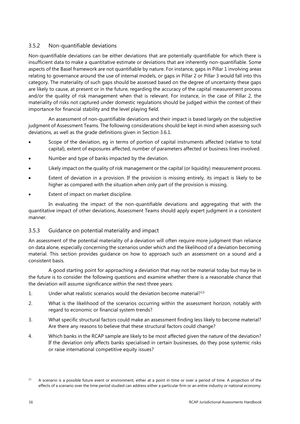#### 3.5.2 Non-quantifiable deviations

Non-quantifiable deviations can be either deviations that are potentially quantifiable for which there is insufficient data to make a quantitative estimate or deviations that are inherently non-quantifiable. Some aspects of the Basel framework are not quantifiable by nature. For instance, gaps in Pillar 1 involving areas relating to governance around the use of internal models, or gaps in Pillar 2 or Pillar 3 would fall into this category. The materiality of such gaps should be assessed based on the degree of uncertainty these gaps are likely to cause, at present or in the future, regarding the accuracy of the capital measurement process and/or the quality of risk management when that is relevant. For instance, in the case of Pillar 2, the materiality of risks not captured under domestic regulations should be judged within the context of their importance for financial stability and the level playing field.

An assessment of non-quantifiable deviations and their impact is based largely on the subjective judgment of Assessment Teams. The following considerations should be kept in mind when assessing such deviations, as well as the grade definitions given in Section 3.6.1.

- Scope of the deviation, eg in terms of portion of capital instruments affected (relative to total capital), extent of exposures affected, number of parameters affected or business lines involved.
- Number and type of banks impacted by the deviation.
- Likely impact on the quality of risk management or the capital (or liquidity) measurement process.
- Extent of deviation in a provision. If the provision is missing entirely, its impact is likely to be higher as compared with the situation when only part of the provision is missing.
- Extent of impact on market discipline.

In evaluating the impact of the non-quantifiable deviations and aggregating that with the quantitative impact of other deviations, Assessment Teams should apply expert judgment in a consistent manner.

### 3.5.3 Guidance on potential materiality and impact

An assessment of the potential materiality of a deviation will often require more judgment than reliance on data alone, especially concerning the scenarios under which and the likelihood of a deviation becoming material. This section provides guidance on how to approach such an assessment on a sound and a consistent basis.

A good starting point for approaching a deviation that may not be material today but may be in the future is to consider the following questions and examine whether there is a reasonable chance that the deviation will assume significance within the next three years:

- 1. Under what realistic scenarios would the deviation become material?<sup>[13](#page-19-0)</sup>
- 2. What is the likelihood of the scenarios occurring within the assessment horizon, notably with regard to economic or financial system trends?
- 3. What specific structural factors could make an assessment finding less likely to become material? Are there any reasons to believe that these structural factors could change?
- 4. Which banks in the RCAP sample are likely to be most affected given the nature of the deviation? If the deviation only affects banks specialised in certain businesses, do they pose systemic risks or raise international competitive equity issues?

<span id="page-19-0"></span><sup>&</sup>lt;sup>13</sup> A scenario is a possible future event or environment, either at a point in time or over a period of time. A projection of the effects of a scenario over the time period studied can address either a particular firm or an entire industry or national economy.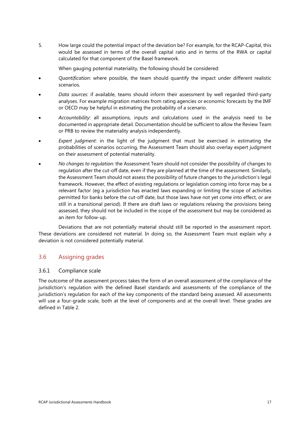5. How large could the potential impact of the deviation be? For example, for the RCAP-Capital, this would be assessed in terms of the overall capital ratio and in terms of the RWA or capital calculated for that component of the Basel framework.

When gauging potential materiality, the following should be considered:

- *Quantification*: where possible, the team should quantify the impact under different realistic scenarios.
- *Data sources*: if available, teams should inform their assessment by well regarded third-party analyses. For example migration matrices from rating agencies or economic forecasts by the IMF or OECD may be helpful in estimating the probability of a scenario.
- *Accountability*: all assumptions, inputs and calculations used in the analysis need to be documented in appropriate detail. Documentation should be sufficient to allow the Review Team or PRB to review the materiality analysis independently.
- *Expert judgment*: in the light of the judgment that must be exercised in estimating the probabilities of scenarios occurring, the Assessment Team should also overlay expert judgment on their assessment of potential materiality.
- *No changes to regulation*: the Assessment Team should not consider the possibility of changes to regulation after the cut-off date, even if they are planned at the time of the assessment. Similarly, the Assessment Team should not assess the possibility of future changes to the jurisdiction's legal framework. However, the effect of existing regulations or legislation coming into force may be a relevant factor (eg a jurisdiction has enacted laws expanding or limiting the scope of activities permitted for banks before the cut-off date, but those laws have not yet come into effect, or are still in a transitional period). If there are draft laws or regulations relaxing the provisions being assessed, they should not be included in the scope of the assessment but may be considered as an item for follow-up.

Deviations that are not potentially material should still be reported in the assessment report. These deviations are considered not material. In doing so, the Assessment Team must explain why a deviation is not considered potentially material.

#### 3.6 Assigning grades

#### 3.6.1 Compliance scale

The outcome of the assessment process takes the form of an overall assessment of the compliance of the jurisdiction's regulation with the defined Basel standards and assessments of the compliance of the jurisdiction's regulation for each of the key components of the standard being assessed. All assessments will use a four-grade scale, both at the level of components and at the overall level. These grades are defined in Table 2.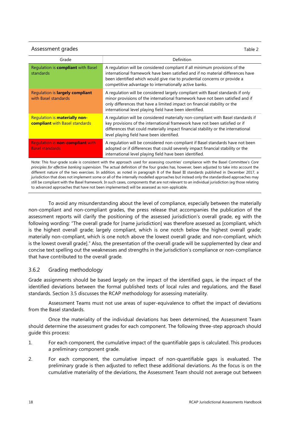#### Assessment grades Table 2 and 2 and 2 and 2 and 2 and 2 and 2 and 2 and 2 and 2 and 2 and 2 and 2 and 2 and 2 and 2 and 2 and 2 and 2 and 2 and 2 and 2 and 2 and 2 and 2 and 2 and 2 and 2 and 2 and 2 and 2 and 2 and 2 and

standards

Grade **Definition** Regulation is **compliant** with Basel A regulation will be considered compliant if all minimum provisions of the international framework have been satisfied and if no material differences have been identified which would give rise to prudential concerns or provide a competitive advantage to internationally active banks. Regulation is **largely compliant** with Basel standards A regulation will be considered largely compliant with Basel standards if only minor provisions of the international framework have not been satisfied and if only differences that have a limited impact on financial stability or the international level playing field have been identified. Regulation is **materially noncompliant** with Basel standards A regulation will be considered materially non-compliant with Basel standards if key provisions of the international framework have not been satisfied or if differences that could materially impact financial stability or the international level playing field have been identified.

Regulation is **non-compliant** with Basel standards A regulation will be considered non-compliant if Basel standards have not been adopted or if differences that could severely impact financial stability or the international level playing field have been identified.

Note: This four-grade scale is consistent with the approach used for assessing countries' compliance with the Basel Committee's *Core principles for effective banking supervision*. The actual definition of the four grades has, however, been adjusted to take into account the different nature of the two exercises. In addition, as noted in paragraph 8 of the Basel III standards published in December 2017, a jurisdiction that does not implement some or all of the internally modelled approaches but instead only the standardised approaches may still be compliant with the Basel framework. In such cases, components that are not relevant to an individual jurisdiction (eg those relating to advanced approaches that have not been implemented) will be assessed as non-applicable.

To avoid any misunderstanding about the level of compliance, especially between the materially non-compliant and non-compliant grades, the press release that accompanies the publication of the assessment reports will clarify the positioning of the assessed jurisdiction's overall grade, eg with the following wording: "The overall grade for [name jurisdiction] was therefore assessed as [compliant, which is the highest overall grade; largely compliant, which is one notch below the highest overall grade; materially non-compliant, which is one notch above the lowest overall grade; and non-compliant, which is the lowest overall grade]." Also, the presentation of the overall grade will be supplemented by clear and concise text spelling out the weaknesses and strengths in the jurisdiction's compliance or non-compliance that have contributed to the overall grade.

#### 3.6.2 Grading methodology

Grade assignments should be based largely on the impact of the identified gaps, ie the impact of the identified deviations between the formal published texts of local rules and regulations, and the Basel standards. Section 3.5 discusses the RCAP methodology for assessing materiality.

Assessment Teams must not use areas of super-equivalence to offset the impact of deviations from the Basel standards.

Once the materiality of the individual deviations has been determined, the Assessment Team should determine the assessment grades for each component. The following three-step approach should guide this process:

- 1. For each component, the cumulative impact of the quantifiable gaps is calculated. This produces a preliminary component grade.
- 2. For each component, the cumulative impact of non-quantifiable gaps is evaluated. The preliminary grade is then adjusted to reflect these additional deviations. As the focus is on the cumulative materiality of the deviations, the Assessment Team should not average out between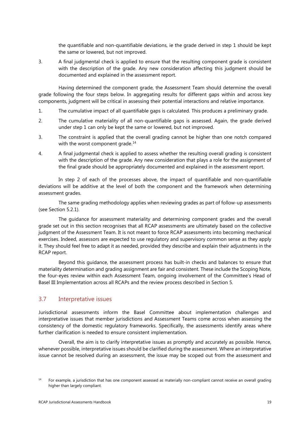the quantifiable and non-quantifiable deviations, ie the grade derived in step 1 should be kept the same or lowered, but not improved.

3. A final judgmental check is applied to ensure that the resulting component grade is consistent with the description of the grade. Any new consideration affecting this judgment should be documented and explained in the assessment report.

Having determined the component grade, the Assessment Team should determine the overall grade following the four steps below. In aggregating results for different gaps within and across key components, judgment will be critical in assessing their potential interactions and relative importance.

- 1. The cumulative impact of all quantifiable gaps is calculated. This produces a preliminary grade.
- 2. The cumulative materiality of all non-quantifiable gaps is assessed. Again, the grade derived under step 1 can only be kept the same or lowered, but not improved.
- 3. The constraint is applied that the overall grading cannot be higher than one notch compared with the worst component grade. $14$
- 4. A final judgmental check is applied to assess whether the resulting overall grading is consistent with the description of the grade. Any new consideration that plays a role for the assignment of the final grade should be appropriately documented and explained in the assessment report.

In step 2 of each of the processes above, the impact of quantifiable and non-quantifiable deviations will be additive at the level of both the component and the framework when determining assessment grades.

The same grading methodology applies when reviewing grades as part of follow-up assessments (see Section 5.2.1).

The guidance for assessment materiality and determining component grades and the overall grade set out in this section recognises that all RCAP assessments are ultimately based on the collective judgment of the Assessment Team. It is not meant to force RCAP assessments into becoming mechanical exercises. Indeed, assessors are expected to use regulatory and supervisory common sense as they apply it. They should feel free to adapt it as needed, provided they describe and explain their adjustments in the RCAP report.

Beyond this guidance, the assessment process has built-in checks and balances to ensure that materiality determination and grading assignment are fair and consistent. These include the Scoping Note, the four-eyes review within each Assessment Team, ongoing involvement of the Committee's Head of Basel III Implementation across all RCAPs and the review process described in Section 5.

# 3.7 Interpretative issues

Jurisdictional assessments inform the Basel Committee about implementation challenges and interpretative issues that member jurisdictions and Assessment Teams come across when assessing the consistency of the domestic regulatory frameworks. Specifically, the assessments identify areas where further clarification is needed to ensure consistent implementation.

Overall, the aim is to clarify interpretative issues as promptly and accurately as possible. Hence, whenever possible, interpretative issues should be clarified during the assessment. Where an interpretative issue cannot be resolved during an assessment, the issue may be scoped out from the assessment and

<span id="page-22-0"></span><sup>14</sup> For example, a jurisdiction that has one component assessed as materially non-compliant cannot receive an overall grading higher than largely compliant.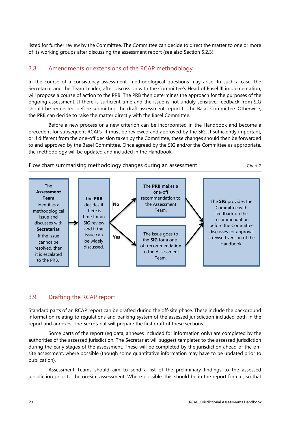listed for further review by the Committee. The Committee can decide to direct the matter to one or more of its working groups after discussing the assessment report (see also Section 5.2.3).

## 3.8 Amendments or extensions of the RCAP methodology

In the course of a consistency assessment, methodological questions may arise. In such a case, the Secretariat and the Team Leader, after discussion with the Committee's Head of Basel III implementation, will propose a course of action to the PRB. The PRB then determines the approach for the purposes of the ongoing assessment. If there is sufficient time and the issue is not unduly sensitive, feedback from SIG should be requested before submitting the draft assessment report to the Basel Committee. Otherwise, the PRB can decide to raise the matter directly with the Basel Committee.

Before a new process or a new criterion can be incorporated in the Handbook and become a precedent for subsequent RCAPs, it must be reviewed and approved by the SIG. If sufficiently important, or if different from the one-off decision taken by the Committee, these changes should then be forwarded to and approved by the Basel Committee. Once agreed by the SIG and/or the Committee as appropriate, the methodology will be updated and included in the Handbook.



# 3.9 Drafting the RCAP report

Standard parts of an RCAP report can be drafted during the off-site phase. These include the background information relating to regulations and banking system of the assessed jurisdiction included both in the report and annexes. The Secretariat will prepare the first draft of these sections.

Some parts of the report (eg data, annexes included for information only) are completed by the authorities of the assessed jurisdiction. The Secretariat will suggest templates to the assessed jurisdiction during the early stages of the assessment. These will be completed by the jurisdiction ahead of the onsite assessment, where possible (though some quantitative information may have to be updated prior to publication).

Assessment Teams should aim to send a list of the preliminary findings to the assessed jurisdiction prior to the on-site assessment. Where possible, this should be in the report format, so that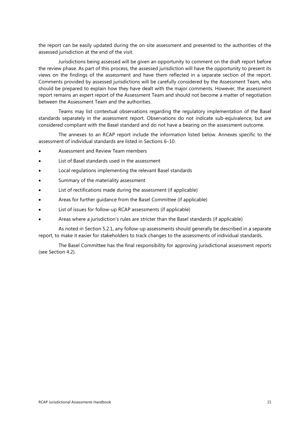the report can be easily updated during the on-site assessment and presented to the authorities of the assessed jurisdiction at the end of the visit.

Jurisdictions being assessed will be given an opportunity to comment on the draft report before the review phase. As part of this process, the assessed jurisdiction will have the opportunity to present its views on the findings of the assessment and have them reflected in a separate section of the report. Comments provided by assessed jurisdictions will be carefully considered by the Assessment Team, who should be prepared to explain how they have dealt with the major comments. However, the assessment report remains an expert report of the Assessment Team and should not become a matter of negotiation between the Assessment Team and the authorities.

Teams may list contextual observations regarding the regulatory implementation of the Basel standards separately in the assessment report. Observations do not indicate sub-equivalence, but are considered compliant with the Basel standard and do not have a bearing on the assessment outcome.

The annexes to an RCAP report include the information listed below. Annexes specific to the assessment of individual standards are listed in Sections 6–10.

- Assessment and Review Team members
- List of Basel standards used in the assessment
- Local regulations implementing the relevant Basel standards
- Summary of the materiality assessment
- List of rectifications made during the assessment (if applicable)
- Areas for further guidance from the Basel Committee (if applicable)
- List of issues for follow-up RCAP assessments (if applicable)
- Areas where a jurisdiction's rules are stricter than the Basel standards (if applicable)

As noted in Section 5.2.1, any follow-up assessments should generally be described in a separate report, to make it easier for stakeholders to track changes to the assessments of individual standards.

The Basel Committee has the final responsibility for approving jurisdictional assessment reports (see Section 4.2).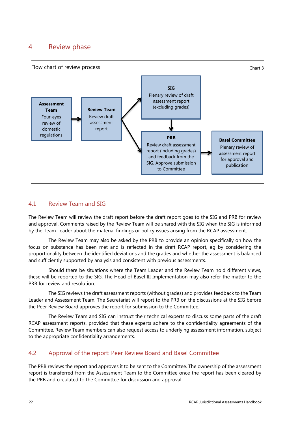# <span id="page-25-0"></span>4 Review phase



### 4.1 Review Team and SIG

The Review Team will review the draft report before the draft report goes to the SIG and PRB for review and approval. Comments raised by the Review Team will be shared with the SIG when the SIG is informed by the Team Leader about the material findings or policy issues arising from the RCAP assessment.

The Review Team may also be asked by the PRB to provide an opinion specifically on how the focus on substance has been met and is reflected in the draft RCAP report, eg by considering the proportionality between the identified deviations and the grades and whether the assessment is balanced and sufficiently supported by analysis and consistent with previous assessments.

Should there be situations where the Team Leader and the Review Team hold different views, these will be reported to the SIG. The Head of Basel III Implementation may also refer the matter to the PRB for review and resolution.

The SIG reviews the draft assessment reports (without grades) and provides feedback to the Team Leader and Assessment Team. The Secretariat will report to the PRB on the discussions at the SIG before the Peer Review Board approves the report for submission to the Committee.

The Review Team and SIG can instruct their technical experts to discuss some parts of the draft RCAP assessment reports, provided that these experts adhere to the confidentiality agreements of the Committee. Review Team members can also request access to underlying assessment information, subject to the appropriate confidentiality arrangements.

# 4.2 Approval of the report: Peer Review Board and Basel Committee

The PRB reviews the report and approves it to be sent to the Committee. The ownership of the assessment report is transferred from the Assessment Team to the Committee once the report has been cleared by the PRB and circulated to the Committee for discussion and approval.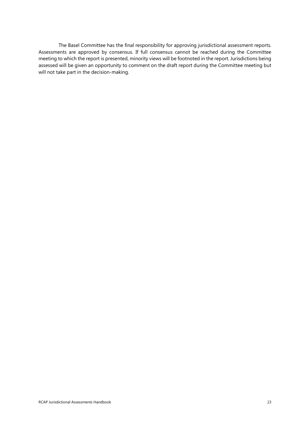The Basel Committee has the final responsibility for approving jurisdictional assessment reports. Assessments are approved by consensus. If full consensus cannot be reached during the Committee meeting to which the report is presented, minority views will be footnoted in the report. Jurisdictions being assessed will be given an opportunity to comment on the draft report during the Committee meeting but will not take part in the decision-making.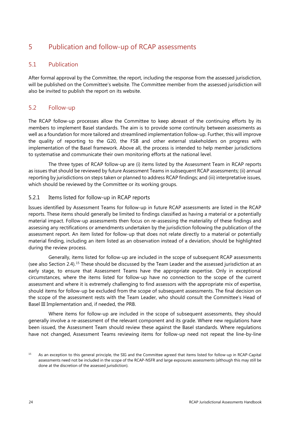# <span id="page-27-0"></span>5 Publication and follow-up of RCAP assessments

### 5.1 Publication

After formal approval by the Committee, the report, including the response from the assessed jurisdiction, will be published on the Committee's website. The Committee member from the assessed jurisdiction will also be invited to publish the report on its website.

### 5.2 Follow-up

The RCAP follow-up processes allow the Committee to keep abreast of the continuing efforts by its members to implement Basel standards. The aim is to provide some continuity between assessments as well as a foundation for more tailored and streamlined implementation follow-up. Further, this will improve the quality of reporting to the G20, the FSB and other external stakeholders on progress with implementation of the Basel framework. Above all, the process is intended to help member jurisdictions to systematise and communicate their own monitoring efforts at the national level.

The three types of RCAP follow-up are (i) items listed by the Assessment Team in RCAP reports as issues that should be reviewed by future Assessment Teams in subsequent RCAP assessments; (ii) annual reporting by jurisdictions on steps taken or planned to address RCAP findings; and (iii) interpretative issues, which should be reviewed by the Committee or its working groups.

#### 5.2.1 Items listed for follow-up in RCAP reports

Issues identified by Assessment Teams for follow-up in future RCAP assessments are listed in the RCAP reports. These items should generally be limited to findings classified as having a material or a potentially material impact. Follow-up assessments then focus on re-assessing the materiality of these findings and assessing any rectifications or amendments undertaken by the jurisdiction following the publication of the assessment report. An item listed for follow-up that does not relate directly to a material or potentially material finding, including an item listed as an observation instead of a deviation, should be highlighted during the review process.

Generally, items listed for follow-up are included in the scope of subsequent RCAP assessments (see also Section 2.4).<sup>[15](#page-27-1)</sup> These should be discussed by the Team Leader and the assessed jurisdiction at an early stage, to ensure that Assessment Teams have the appropriate expertise. Only in exceptional circumstances, where the items listed for follow-up have no connection to the scope of the current assessment and where it is extremely challenging to find assessors with the appropriate mix of expertise, should items for follow-up be excluded from the scope of subsequent assessments. The final decision on the scope of the assessment rests with the Team Leader, who should consult the Committee's Head of Basel III Implementation and, if needed, the PRB.

Where items for follow-up are included in the scope of subsequent assessments, they should generally involve a re-assessment of the relevant component and its grade. Where new regulations have been issued, the Assessment Team should review these against the Basel standards. Where regulations have not changed, Assessment Teams reviewing items for follow-up need not repeat the line-by-line

<span id="page-27-1"></span><sup>15</sup> As an exception to this general principle, the SIG and the Committee agreed that items listed for follow-up in RCAP-Capital assessments need not be included in the scope of the RCAP-NSFR and large exposures assessments (although this may still be done at the discretion of the assessed jurisdiction).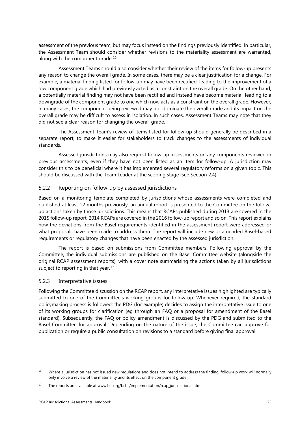assessment of the previous team, but may focus instead on the findings previously identified. In particular, the Assessment Team should consider whether revisions to the materiality assessment are warranted, along with the component grade.<sup>[16](#page-28-0)</sup>

Assessment Teams should also consider whether their review of the items for follow-up presents any reason to change the overall grade. In some cases, there may be a clear justification for a change. For example, a material finding listed for follow-up may have been rectified, leading to the improvement of a low component grade which had previously acted as a constraint on the overall grade. On the other hand, a potentially material finding may not have been rectified and instead have become material, leading to a downgrade of the component grade to one which now acts as a constraint on the overall grade. However, in many cases, the component being reviewed may not dominate the overall grade and its impact on the overall grade may be difficult to assess in isolation. In such cases, Assessment Teams may note that they did not see a clear reason for changing the overall grade.

The Assessment Team's review of items listed for follow-up should generally be described in a separate report, to make it easier for stakeholders to track changes to the assessments of individual standards.

Assessed jurisdictions may also request follow-up assessments on any components reviewed in previous assessments, even if they have not been listed as an item for follow-up. A jurisdiction may consider this to be beneficial where it has implemented several regulatory reforms on a given topic. This should be discussed with the Team Leader at the scoping stage (see Section 2.4).

#### 5.2.2 Reporting on follow-up by assessed jurisdictions

Based on a monitoring template completed by jurisdictions whose assessments were completed and published at least 12 months previously, an annual report is presented to the Committee on the followup actions taken by those jurisdictions. This means that RCAPs published during 2013 are covered in the 2015 follow-up report, 2014 RCAPs are covered in the 2016 follow-up report and so on. This report explains how the deviations from the Basel requirements identified in the assessment report were addressed or what proposals have been made to address them. The report will include new or amended Basel-based requirements or regulatory changes that have been enacted by the assessed jurisdiction.

The report is based on submissions from Committee members. Following approval by the Committee, the individual submissions are published on the Basel Committee website (alongside the original RCAP assessment reports), with a cover note summarising the actions taken by all jurisdictions subject to reporting in that year.<sup>[17](#page-28-1)</sup>

#### 5.2.3 Interpretative issues

Following the Committee discussion on the RCAP report, any interpretative issues highlighted are typically submitted to one of the Committee's working groups for follow-up. Whenever required, the standard policymaking process is followed: the PDG (for example) decides to assign the interpretative issue to one of its working groups for clarification (eg through an FAQ or a proposal for amendment of the Basel standard). Subsequently, the FAQ or policy amendment is discussed by the PDG and submitted to the Basel Committee for approval. Depending on the nature of the issue, the Committee can approve for publication or require a public consultation on revisions to a standard before giving final approval.

<span id="page-28-0"></span><sup>&</sup>lt;sup>16</sup> Where a jurisdiction has not issued new regulations and does not intend to address the finding, follow-up work will normally only involve a review of the materiality and its effect on the component grade.

<span id="page-28-1"></span><sup>17</sup> The reports are available at www.bis.org/bcbs/implementation/rcap\_jurisdictional.htm.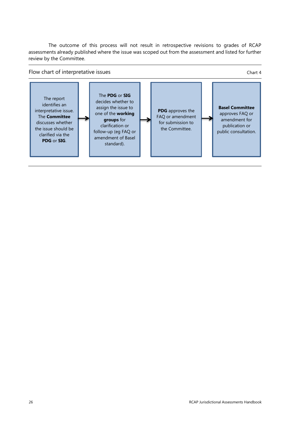The outcome of this process will not result in retrospective revisions to grades of RCAP assessments already published where the issue was scoped out from the assessment and listed for further review by the Committee.

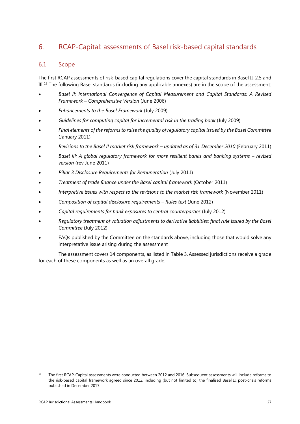# <span id="page-30-0"></span>6. RCAP-Capital: assessments of Basel risk-based capital standards

## 6.1 Scope

The first RCAP assessments of risk-based capital regulations cover the capital standards in Basel II, 2.5 and  $\rm III.^{18}$  $\rm III.^{18}$  $\rm III.^{18}$  The following Basel standards (including any applicable annexes) are in the scope of the assessment:

- *[Basel II: International Convergence of Capital Measurement and Capital Standards: A Revised](http://www.bis.org/publ/bcbs128.htm)  Framework – [Comprehensive Version](http://www.bis.org/publ/bcbs128.htm)* (June 2006)
- *[Enhancements to the Basel Framework](http://www.bis.org/publ/bcbs157.htm)* (July 2009)
- *[Guidelines for computing capital for incremental risk in the trading book](http://www.bis.org/publ/bcbs159.htm)* (July 2009)
- *[Final elements of the reforms to raise the quality of regulatory capital issued by the Basel Committee](http://www.bis.org/press/p110113.htm)* (January 2011)
- *[Revisions to the Basel II market risk framework –](http://www.bis.org/publ/bcbs193.htm) updated as of 31 December 2010* (February 2011)
- *[Basel III: A global regulatory framework for more resilient banks and banking systems –](http://www.bis.org/publ/bcbs189.htm) revised [version](http://www.bis.org/publ/bcbs189.htm)* (rev June 2011)
- *[Pillar 3 Disclosure Requirements for Remuneration](http://www.bis.org/publ/bcbs197.htm)* (July 2011)
- *[Treatment of trade finance under the Basel capital framework](http://www.bis.org/publ/bcbs205.htm)* (October 2011)
- *[Interpretive issues with respect to the revisions to the market risk framework](http://www.bis.org/publ/bcbs208.htm)* (November 2011)
- *[Composition of capital disclosure requirements –](http://www.bis.org/publ/bcbs221.htm) Rules text* (June 2012)
- *[Capital requirements for bank exposures to central counterparties](http://www.bis.org/publ/bcbs227.htm)* (July 2012)
- *[Regulatory treatment of valuation adjustments to derivative liabilities: final rule issued by the Basel](http://www.bis.org/press/p120725b.htm)  [Committee](http://www.bis.org/press/p120725b.htm)* (July 2012)
- FAQs published by the Committee on the standards above, including those that would solve any interpretative issue arising during the assessment

The assessment covers 14 components, as listed in Table 3.Assessed jurisdictions receive a grade for each of these components as well as an overall grade.

<span id="page-30-1"></span><sup>&</sup>lt;sup>18</sup> The first RCAP-Capital assessments were conducted between 2012 and 2016. Subsequent assessments will include reforms to the risk-based capital framework agreed since 2012, including (but not limited to) the finalised Basel III post-crisis reforms published in December 2017.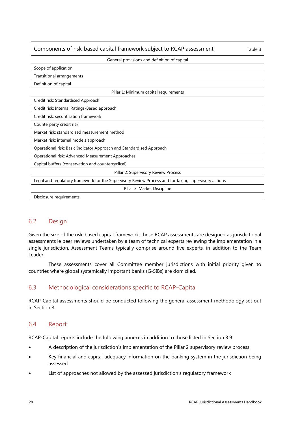| Components of risk-based capital framework subject to RCAP assessment                                | Table 3 |
|------------------------------------------------------------------------------------------------------|---------|
| General provisions and definition of capital                                                         |         |
| Scope of application                                                                                 |         |
| Transitional arrangements                                                                            |         |
| Definition of capital                                                                                |         |
| Pillar 1: Minimum capital requirements                                                               |         |
| Credit risk: Standardised Approach                                                                   |         |
| Credit risk: Internal Ratings-Based approach                                                         |         |
| Credit risk: securitisation framework                                                                |         |
| Counterparty credit risk                                                                             |         |
| Market risk: standardised measurement method                                                         |         |
| Market risk: internal models approach                                                                |         |
| Operational risk: Basic Indicator Approach and Standardised Approach                                 |         |
| Operational risk: Advanced Measurement Approaches                                                    |         |
| Capital buffers (conservation and countercyclical)                                                   |         |
| Pillar 2: Supervisory Review Process                                                                 |         |
| Legal and regulatory framework for the Supervisory Review Process and for taking supervisory actions |         |
| Pillar 3: Market Discipline                                                                          |         |
|                                                                                                      |         |

Disclosure requirements

# 6.2 Design

Given the size of the risk-based capital framework, these RCAP assessments are designed as jurisdictional assessments ie peer reviews undertaken by a team of technical experts reviewing the implementation in a single jurisdiction. Assessment Teams typically comprise around five experts, in addition to the Team Leader.

These assessments cover all Committee member jurisdictions with initial priority given to countries where global systemically important banks (G-SIBs) are domiciled.

# 6.3 Methodological considerations specific to RCAP-Capital

RCAP-Capital assessments should be conducted following the general assessment methodology set out in Section 3.

### 6.4 Report

RCAP-Capital reports include the following annexes in addition to those listed in Section 3.9.

- A description of the jurisdiction's implementation of the Pillar 2 supervisory review process
- Key financial and capital adequacy information on the banking system in the jurisdiction being assessed
- List of approaches not allowed by the assessed jurisdiction's regulatory framework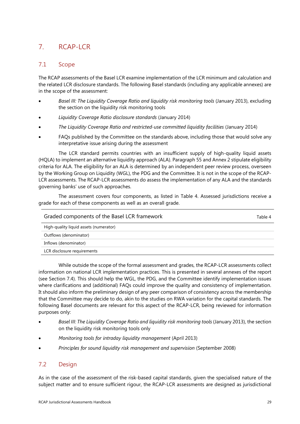# <span id="page-32-0"></span>7. RCAP-LCR

## 7.1 Scope

The RCAP assessments of the Basel LCR examine implementation of the LCR minimum and calculation and the related LCR disclosure standards. The following Basel standards (including any applicable annexes) are in the scope of the assessment:

- *[Basel III: The Liquidity Coverage Ratio and liquidity risk monitoring tools](http://www.bis.org/publ/bcbs238.htm)* (January 2013), excluding the section on the liquidity risk monitoring tools
- *[Liquidity Coverage Ratio disclosure standards](http://www.bis.org/publ/bcbs272.htm)* (January 2014)
- *[The Liquidity Coverage Ratio and restricted-use committed liquidity facilities](http://www.bis.org/publ/bcbs274.htm)* (January 2014)
- FAQs published by the Committee on the standards above, including those that would solve any interpretative issue arising during the assessment

The LCR standard permits countries with an insufficient supply of high-quality liquid assets (HQLA) to implement an alternative liquidity approach (ALA). Paragraph 55 and Annex 2 stipulate eligibility criteria for ALA. The eligibility for an ALA is determined by an independent peer review process, overseen by the Working Group on Liquidity (WGL), the PDG and the Committee. It is not in the scope of the RCAP-LCR assessments. The RCAP-LCR assessments do assess the implementation of any ALA and the standards governing banks' use of such approaches.

The assessment covers four components, as listed in Table 4. Assessed jurisdictions receive a grade for each of these components as well as an overall grade.

| Graded components of the Basel LCR framework | Table 4 |
|----------------------------------------------|---------|
| High-quality liquid assets (numerator)       |         |
| Outflows (denominator)                       |         |
| Inflows (denominator)                        |         |
| LCR disclosure requirements                  |         |

While outside the scope of the formal assessment and grades, the RCAP-LCR assessments collect information on national LCR implementation practices. This is presented in several annexes of the report (see Section 7.4). This should help the WGL, the PDG, and the Committee identify implementation issues where clarifications and (additional) FAQs could improve the quality and consistency of implementation. It should also inform the preliminary design of any peer comparison of consistency across the membership that the Committee may decide to do, akin to the studies on RWA variation for the capital standards. The following Basel documents are relevant for this aspect of the RCAP-LCR, being reviewed for information purposes only:

- *[Basel III: The Liquidity Coverage Ratio and liquidity risk monitoring tools](http://www.bis.org/publ/bcbs238.htm)* (January 2013), the section on the liquidity risk monitoring tools only
- *[Monitoring tools for intraday liquidity management](http://www.bis.org/publ/bcbs248.htm)* (April 2013)
- *[Principles for sound liquidity risk management and supervision](http://www.bis.org/publ/bcbs144.htm)* (September 2008)

### 7.2 Design

As in the case of the assessment of the risk-based capital standards, given the specialised nature of the subject matter and to ensure sufficient rigour, the RCAP-LCR assessments are designed as jurisdictional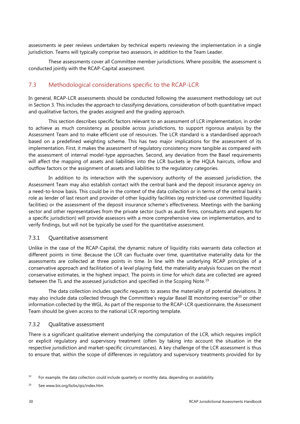assessments ie peer reviews undertaken by technical experts reviewing the implementation in a single jurisdiction. Teams will typically comprise two assessors, in addition to the Team Leader.

These assessments cover all Committee member jurisdictions. Where possible, the assessment is conducted jointly with the RCAP-Capital assessment.

# 7.3 Methodological considerations specific to the RCAP-LCR

In general, RCAP-LCR assessments should be conducted following the assessment methodology set out in Section 3. This includes the approach to classifying deviations, consideration of both quantitative impact and qualitative factors, the grades assigned and the grading approach.

This section describes specific factors relevant to an assessment of LCR implementation, in order to achieve as much consistency as possible across jurisdictions, to support rigorous analysis by the Assessment Team and to make efficient use of resources. The LCR standard is a standardised approach based on a predefined weighting scheme. This has two major implications for the assessment of its implementation. First, it makes the assessment of regulatory consistency more tangible as compared with the assessment of internal model-type approaches. Second, any deviation from the Basel requirements will affect the mapping of assets and liabilities into the LCR buckets ie the HQLA haircuts, inflow and outflow factors or the assignment of assets and liabilities to the regulatory categories.

In addition to its interaction with the supervisory authority of the assessed jurisdiction, the Assessment Team may also establish contact with the central bank and the deposit insurance agency on a need-to-know basis. This could be in the context of the data collection or in terms of the central bank's role as lender of last resort and provider of other liquidity facilities (eg restricted-use committed liquidity facilities) or the assessment of the deposit insurance scheme's effectiveness. Meetings with the banking sector and other representatives from the private sector (such as audit firms, consultants and experts for a specific jurisdiction) will provide assessors with a more comprehensive view on implementation, and to verify findings, but will not be typically be used for the quantitative assessment.

#### 7.3.1 Quantitative assessment

Unlike in the case of the RCAP-Capital, the dynamic nature of liquidity risks warrants data collection at different points in time. Because the LCR can fluctuate over time, quantitative materiality data for the assessments are collected at three points in time. In line with the underlying RCAP principles of a conservative approach and facilitation of a level playing field, the materiality analysis focuses on the most conservative estimates, ie the highest impact. The points in time for which data are collected are agreed between the TL and the assessed jurisdiction and specified in the Scoping Note.<sup>[19](#page-33-0)</sup>

The data collection includes specific requests to assess the materiality of potential deviations. It may also include data collected through the Committee's regular Basel III monitoring exercise<sup>[20](#page-33-1)</sup> or other information collected by the WGL. As part of the response to the RCAP-LCR questionnaire, the Assessment Team should be given access to the national LCR reporting template.

#### 7.3.2 Qualitative assessment

There is a significant qualitative element underlying the computation of the LCR, which requires implicit or explicit regulatory and supervisory treatment (often by taking into account the situation in the respective jurisdiction and market-specific circumstances). A key challenge of the LCR assessment is thus to ensure that, within the scope of differences in regulatory and supervisory treatments provided for by

<span id="page-33-0"></span><sup>&</sup>lt;sup>19</sup> For example, the data collection could include quarterly or monthly data, depending on availability.

<span id="page-33-1"></span><sup>20</sup> Se[e www.bis.org/bcbs/qis/index.htm.](http://www.bis.org/bcbs/qis/index.htm)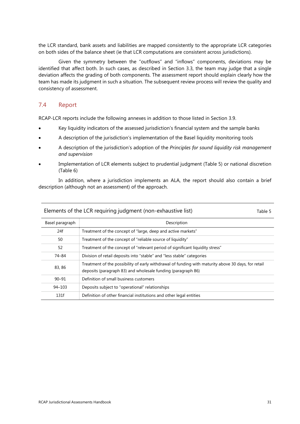the LCR standard, bank assets and liabilities are mapped consistently to the appropriate LCR categories on both sides of the balance sheet (ie that LCR computations are consistent across jurisdictions).

Given the symmetry between the "outflows" and "inflows" components, deviations may be identified that affect both. In such cases, as described in Section 3.3, the team may judge that a single deviation affects the grading of both components. The assessment report should explain clearly how the team has made its judgment in such a situation. The subsequent review process will review the quality and consistency of assessment.

#### 7.4 Report

RCAP-LCR reports include the following annexes in addition to those listed in Section 3.9.

- Key liquidity indicators of the assessed jurisdiction's financial system and the sample banks
- A description of the jurisdiction's implementation of the Basel liquidity monitoring tools
- A description of the jurisdiction's adoption of the *Principles for sound liquidity risk management and supervision*
- Implementation of LCR elements subject to prudential judgment (Table 5) or national discretion (Table 6)

In addition, where a jurisdiction implements an ALA, the report should also contain a brief description (although not an assessment) of the approach.

Elements of the LCR requiring judgment (non-exhaustive list) The Table 5 Basel paragraph description 24f Treatment of the concept of "large, deep and active markets" 50 Treatment of the concept of "reliable source of liquidity" 52 Treatment of the concept of "relevant period of significant liquidity stress" 74–84 Division of retail deposits into "stable" and "less stable" categories 83, 86 Treatment of the possibility of early withdrawal of funding with maturity above 30 days, for retail deposits (paragraph 83) and wholesale funding (paragraph 86) 90–91 Definition of small business customers 94–103 Deposits subject to "operational" relationships 131f Definition of other financial institutions and other legal entities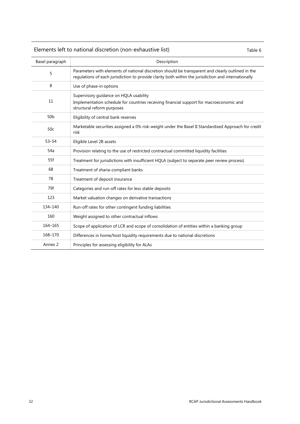# Elements left to national discretion (non-exhaustive list) Table 6

| Basel paragraph    | Description                                                                                                                                                                                               |
|--------------------|-----------------------------------------------------------------------------------------------------------------------------------------------------------------------------------------------------------|
| 5                  | Parameters with elements of national discretion should be transparent and clearly outlined in the<br>regulations of each jurisdiction to provide clarity both within the jurisdiction and internationally |
| 8                  | Use of phase-in options                                                                                                                                                                                   |
| 11                 | Supervisory guidance on HQLA usability<br>Implementation schedule for countries receiving financial support for macroeconomic and<br>structural reform purposes                                           |
| 50 <sub>b</sub>    | Eligibility of central bank reserves                                                                                                                                                                      |
| 50c                | Marketable securities assigned a 0% risk-weight under the Basel II Standardised Approach for credit<br>risk                                                                                               |
| $53 - 54$          | Eligible Level 2B assets                                                                                                                                                                                  |
| 54a                | Provision relating to the use of restricted contractual committed liquidity facilities                                                                                                                    |
| 55f                | Treatment for jurisdictions with insufficient HQLA (subject to separate peer review process)                                                                                                              |
| 68                 | Treatment of sharia-compliant banks                                                                                                                                                                       |
| 78                 | Treatment of deposit insurance                                                                                                                                                                            |
| 79f                | Categories and run-off rates for less stable deposits                                                                                                                                                     |
| 123                | Market valuation changes on derivative transactions                                                                                                                                                       |
| 134-140            | Run-off rates for other contingent funding liabilities                                                                                                                                                    |
| 160                | Weight assigned to other contractual inflows                                                                                                                                                              |
| 164-165            | Scope of application of LCR and scope of consolidation of entities within a banking group                                                                                                                 |
| 168-170            | Differences in home/host liquidity requirements due to national discretions                                                                                                                               |
| Annex <sub>2</sub> | Principles for assessing eligibility for ALAs                                                                                                                                                             |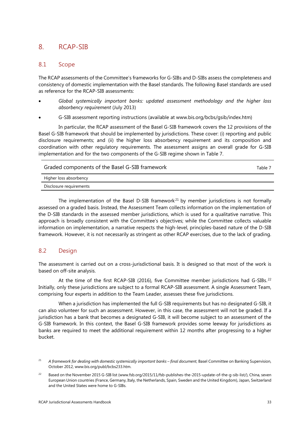# <span id="page-36-0"></span>8. RCAP-SIB

### 8.1 Scope

The RCAP assessments of the Committee's frameworks for G-SIBs and D-SIBs assess the completeness and consistency of domestic implementation with the Basel standards. The following Basel standards are used as reference for the RCAP-SIB assessments:

- *Global systemically important [banks: updated assessment methodology and the higher loss](http://www.bis.org/publ/bcbs255.htm)  [absorbency requirement](http://www.bis.org/publ/bcbs255.htm)* (July 2013)
- G-SIB assessment reporting instructions (available at [www.bis.org/bcbs/gsib/index.htm\)](http://www.bis.org/bcbs/gsib/index.htm)

In particular, the RCAP assessment of the Basel G-SIB framework covers the 12 provisions of the Basel G-SIB framework that should be implemented by jurisdictions. These cover: (i) reporting and public disclosure requirements; and (ii) the higher loss absorbency requirement and its composition and coordination with other regulatory requirements. The assessment assigns an overall grade for G-SIB implementation and for the two components of the G-SIB regime shown in Table 7.

| Graded components of the Basel G-SIB framework | Table 7 |
|------------------------------------------------|---------|
| Higher loss absorbency                         |         |
| Disclosure requirements                        |         |

The implementation of the Basel D-SIB framework<sup>[21](#page-36-1)</sup> by member jurisdictions is not formally assessed on a graded basis. Instead, the Assessment Team collects information on the implementation of the D-SIB standards in the assessed member jurisdictions, which is used for a qualitative narrative. This approach is broadly consistent with the Committee's objectives; while the Committee collects valuable information on implementation, a narrative respects the high-level, principles-based nature of the D-SIB framework. However, it is not necessarily as stringent as other RCAP exercises, due to the lack of grading.

# 8.2 Design

The assessment is carried out on a cross-jurisdictional basis. It is designed so that most of the work is based on off-site analysis.

At the time of the first RCAP-SIB (2016), five Committee member jurisdictions had G-SIBs.<sup>[22](#page-36-2)</sup> Initially, only these jurisdictions are subject to a formal RCAP-SIB assessment. A single Assessment Team, comprising four experts in addition to the Team Leader, assesses these five jurisdictions.

When a jurisdiction has implemented the full G-SIB requirements but has no designated G-SIB, it can also volunteer for such an assessment. However, in this case, the assessment will not be graded. If a jurisdiction has a bank that becomes a designated G-SIB, it will become subject to an assessment of the G-SIB framework. In this context, the Basel G-SIB framework provides some leeway for jurisdictions as banks are required to meet the additional requirement within 12 months after progressing to a higher bucket.

<span id="page-36-1"></span><sup>&</sup>lt;sup>21</sup> A framework for dealing with domestic systemically important banks – final document, Basel Committee on Banking Supervision, October 2012[, www.bis.org/publ/bcbs233.htm.](http://www.bis.org/publ/bcbs233.htm) 

<span id="page-36-2"></span><sup>&</sup>lt;sup>22</sup> Based on the November 2015 G-SIB list [\(www.fsb.org/2015/11/fsb-publishes-the-2015-update-of-the-g-sib-list/\)](http://www.fsb.org/2015/11/fsb-publishes-the-2015-update-of-the-g-sib-list/), China, seven European Union countries (France, Germany, Italy, the Netherlands, Spain, Sweden and the United Kingdom), Japan, Switzerland and the United States were home to G-SIBs.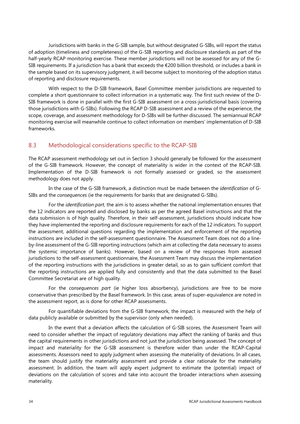Jurisdictions with banks in the G-SIB sample, but without designated G-SIBs, will report the status of adoption (timeliness and completeness) of the G-SIB reporting and disclosure standards as part of the half-yearly RCAP monitoring exercise. These member jurisdictions will not be assessed for any of the G-SIB requirements. If a jurisdiction has a bank that exceeds the €200 billion threshold, or includes a bank in the sample based on its supervisory judgment, it will become subject to monitoring of the adoption status of reporting and disclosure requirements.

With respect to the D-SIB framework, Basel Committee member jurisdictions are requested to complete a short questionnaire to collect information in a systematic way. The first such review of the D-SIB framework is done in parallel with the first G-SIB assessment on a cross-jurisdictional basis (covering those jurisdictions with G-SIBs). Following the RCAP D-SIB assessment and a review of the experience, the scope, coverage, and assessment methodology for D-SIBs will be further discussed. The semiannual RCAP monitoring exercise will meanwhile continue to collect information on members' implementation of D-SIB frameworks.

# 8.3 Methodological considerations specific to the RCAP-SIB

The RCAP assessment methodology set out in Section 3 should generally be followed for the assessment of the G-SIB framework. However, the concept of materiality is wider in the context of the RCAP-SIB. Implementation of the D-SIB framework is not formally assessed or graded, so the assessment methodology does not apply.

In the case of the G-SIB framework, a distinction must be made between the *identification* of G-SIBs and the *consequences* (ie the requirements for banks that are designated G-SIBs).

For the *identification part*, the aim is to assess whether the national implementation ensures that the 12 indicators are reported and disclosed by banks as per the agreed Basel instructions and that the data submission is of high quality. Therefore, in their self-assessment, jurisdictions should indicate how they have implemented the reporting and disclosure requirements for each of the 12 indicators. To support the assessment, additional questions regarding the implementation and enforcement of the reporting instructions are included in the self-assessment questionnaire. The Assessment Team does not do a lineby-line assessment of the G-SIB reporting instructions (which aim at collecting the data necessary to assess the systemic importance of banks). However, based on a review of the responses from assessed jurisdictions to the self-assessment questionnaire, the Assessment Team may discuss the implementation of the reporting instructions with the jurisdictions in greater detail, so as to gain sufficient comfort that the reporting instructions are applied fully and consistently and that the data submitted to the Basel Committee Secretariat are of high quality.

For the *consequences part* (ie higher loss absorbency), jurisdictions are free to be more conservative than prescribed by the Basel framework. In this case, areas of super-equivalence are noted in the assessment report, as is done for other RCAP assessments.

For quantifiable deviations from the G-SIB framework, the impact is measured with the help of data publicly available or submitted by the supervisor (only when needed).

In the event that a deviation affects the calculation of G-SIB scores, the Assessment Team will need to consider whether the impact of regulatory deviations may affect the ranking of banks and thus the capital requirements in other jurisdictions and not just the jurisdiction being assessed. The concept of impact and materiality for the G-SIB assessment is therefore wider than under the RCAP-Capital assessments. Assessors need to apply judgment when assessing the materiality of deviations. In all cases, the team should justify the materiality assessment and provide a clear rationale for the materiality assessment. In addition, the team will apply expert judgment to estimate the (potential) impact of deviations on the calculation of scores and take into account the broader interactions when assessing materiality.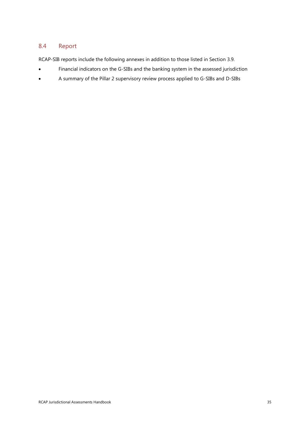## 8.4 Report

RCAP-SIB reports include the following annexes in addition to those listed in Section 3.9.

- Financial indicators on the G-SIBs and the banking system in the assessed jurisdiction
- A summary of the Pillar 2 supervisory review process applied to G-SIBs and D-SIBs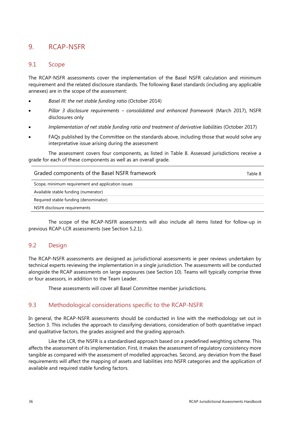# <span id="page-39-0"></span>9. RCAP-NSFR

#### 9.1 Scope

The RCAP-NSFR assessments cover the implementation of the Basel NSFR calculation and minimum requirement and the related disclosure standards. The following Basel standards (including any applicable annexes) are in the scope of the assessment:

- *[Basel III: the net stable funding ratio](http://www.bis.org/bcbs/publ/d295.htm)* (October 2014)
- *Pillar 3 disclosure requirements – [consolidated and enhanced framework](http://www.bis.org/bcbs/publ/d400.htm)* (March 2017), NSFR disclosures only
- *[Implementation of net stable funding ratio and treatment of derivative liabilities](http://www.bis.org/press/p171006.htm)* (October 2017)
- FAQs published by the Committee on the standards above, including those that would solve any interpretative issue arising during the assessment

The assessment covers four components, as listed in Table 8. Assessed jurisdictions receive a grade for each of these components as well as an overall grade.

| Graded components of the Basel NSFR framework     | Table 8 |
|---------------------------------------------------|---------|
| Scope, minimum requirement and application issues |         |
| Available stable funding (numerator)              |         |
| Required stable funding (denominator)             |         |
| NSFR disclosure requirements                      |         |
|                                                   |         |

The scope of the RCAP-NSFR assessments will also include all items listed for follow-up in previous RCAP-LCR assessments (see Section 5.2.1).

## 9.2 Design

The RCAP-NSFR assessments are designed as jurisdictional assessments ie peer reviews undertaken by technical experts reviewing the implementation in a single jurisdiction. The assessments will be conducted alongside the RCAP assessments on large exposures (see Section 10). Teams will typically comprise three or four assessors, in addition to the Team Leader.

These assessments will cover all Basel Committee member jurisdictions.

### 9.3 Methodological considerations specific to the RCAP-NSFR

In general, the RCAP-NSFR assessments should be conducted in line with the methodology set out in Section 3. This includes the approach to classifying deviations, consideration of both quantitative impact and qualitative factors, the grades assigned and the grading approach.

Like the LCR, the NSFR is a standardised approach based on a predefined weighting scheme. This affects the assessment of its implementation. First, it makes the assessment of regulatory consistency more tangible as compared with the assessment of modelled approaches. Second, any deviation from the Basel requirements will affect the mapping of assets and liabilities into NSFR categories and the application of available and required stable funding factors.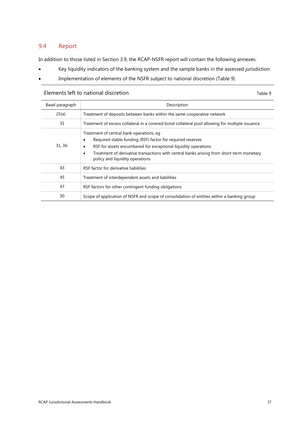#### 9.4 Report

In addition to those listed in Section 3.9, the RCAP-NSFR report will contain the following annexes:

- Key liquidity indicators of the banking system and the sample banks in the assessed jurisdiction
- Implementation of elements of the NSFR subject to national discretion (Table 9)

#### Elements left to national discretion Table 9

| Basel paragraph | Description                                                                                                                                                                                                                                                                                                  |
|-----------------|--------------------------------------------------------------------------------------------------------------------------------------------------------------------------------------------------------------------------------------------------------------------------------------------------------------|
| 25(a)           | Treatment of deposits between banks within the same cooperative network                                                                                                                                                                                                                                      |
| 31              | Treatment of excess collateral in a covered bond collateral pool allowing for multiple issuance                                                                                                                                                                                                              |
| 31, 36          | Treatment of central bank operations, eq<br>Required stable funding (RSF) factor for required reserves<br>٠<br>RSF for assets encumbered for exceptional liquidity operations<br>Treatment of derivative transactions with central banks arising from short-term monetary<br>policy and liquidity operations |
| 43              | RSF factor for derivative liabilities                                                                                                                                                                                                                                                                        |
| 45              | Treatment of interdependent assets and liabilities                                                                                                                                                                                                                                                           |
| 47              | RSF factors for other contingent funding obligations                                                                                                                                                                                                                                                         |
| 50              | Scope of application of NSFR and scope of consolidation of entities within a banking group                                                                                                                                                                                                                   |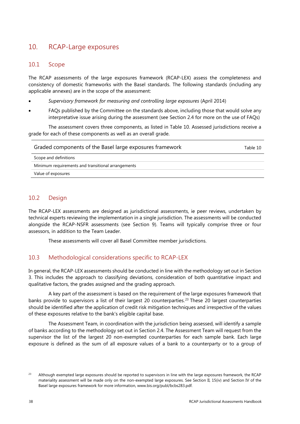# <span id="page-41-0"></span>10. RCAP-Large exposures

#### 10.1 Scope

The RCAP assessments of the large exposures framework (RCAP-LEX) assess the completeness and consistency of domestic frameworks with the Basel standards. The following standards (including any applicable annexes) are in the scope of the assessment:

- *[Supervisory framework for measuring and controlling large exposures](http://www.bis.org/publ/bcbs283.htm)* (April 2014)
- FAQs published by the Committee on the standards above, including those that would solve any interpretative issue arising during the assessment (see Section 2.4 for more on the use of FAQs)

The assessment covers three components, as listed in Table 10. Assessed jurisdictions receive a grade for each of these components as well as an overall grade.

| Graded components of the Basel large exposures framework |  |
|----------------------------------------------------------|--|
| Scope and definitions                                    |  |
|                                                          |  |

Minimum requirements and transitional arrangements

Value of exposures

# 10.2 Design

The RCAP-LEX assessments are designed as jurisdictional assessments, ie peer reviews, undertaken by technical experts reviewing the implementation in a single jurisdiction. The assessments will be conducted alongside the RCAP-NSFR assessments (see Section 9). Teams will typically comprise three or four assessors, in addition to the Team Leader.

These assessments will cover all Basel Committee member jurisdictions.

# 10.3 Methodological considerations specific to RCAP-LEX

In general, the RCAP-LEX assessments should be conducted in line with the methodology set out in Section 3. This includes the approach to classifying deviations, consideration of both quantitative impact and qualitative factors, the grades assigned and the grading approach.

A key part of the assessment is based on the requirement of the large exposures framework that banks provide to supervisors a list of their largest 20 counterparties.<sup>[23](#page-41-1)</sup> These 20 largest counterparties should be identified after the application of credit risk mitigation techniques and irrespective of the values of these exposures relative to the bank's eligible capital base.

The Assessment Team, in coordination with the jurisdiction being assessed, will identify a sample of banks according to the methodology set out in Section 2.4. The Assessment Team will request from the supervisor the list of the largest 20 non-exempted counterparties for each sample bank. Each large exposure is defined as the sum of all exposure values of a bank to a counterparty or to a group of

<span id="page-41-1"></span><sup>&</sup>lt;sup>23</sup> Although exempted large exposures should be reported to supervisors in line with the large exposures framework, the RCAP materiality assessment will be made only on the non-exempted large exposures. See Section II, 15(iv) and Section IV of the Basel large exposures framework for more information, [www.bis.org/publ/bcbs283.pdf.](http://www.bis.org/publ/bcbs283.pdf)